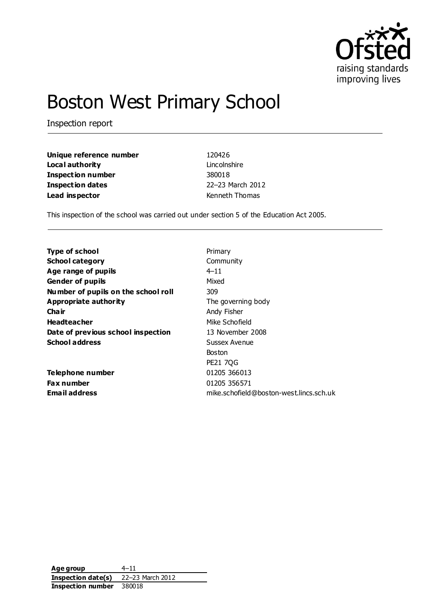

# Boston West Primary School

Inspection report

**Unique reference number** 120426 **Local authority** Lincolnshire **Inspection number** 380018 **Inspection dates** 22–23 March 2012 **Lead inspector Example 2018** Kenneth Thomas

This inspection of the school was carried out under section 5 of the Education Act 2005.

| <b>Type of school</b>               | Primary                                 |
|-------------------------------------|-----------------------------------------|
| <b>School category</b>              | Community                               |
| Age range of pupils                 | $4 - 11$                                |
| <b>Gender of pupils</b>             | Mixed                                   |
| Number of pupils on the school roll | 309                                     |
| <b>Appropriate authority</b>        | The governing body                      |
| Cha ir                              | Andy Fisher                             |
| <b>Headteacher</b>                  | Mike Schofield                          |
| Date of previous school inspection  | 13 November 2008                        |
| <b>School address</b>               | Sussex Avenue                           |
|                                     | <b>Boston</b>                           |
|                                     | <b>PE21 7QG</b>                         |
| Telephone number                    | 01205 366013                            |
| Fax number                          | 01205 356571                            |
| <b>Email address</b>                | mike.schofield@boston-west.lincs.sch.uk |

**Age group** 4–11 **Inspection date(s)** 22–23 March 2012 **Inspection number** 380018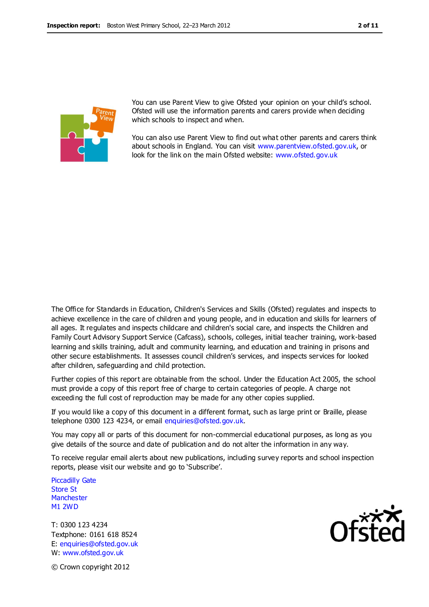

You can use Parent View to give Ofsted your opinion on your child's school. Ofsted will use the information parents and carers provide when deciding which schools to inspect and when.

You can also use Parent View to find out what other parents and carers think about schools in England. You can visit [www.parentview.ofsted.gov.uk,](http://www.parentview.ofsted.gov.uk/) or look for the link on the main Ofsted website: [www.ofsted.gov.uk](http://www.ofsted.gov.uk/)

The Office for Standards in Education, Children's Services and Skills (Ofsted) regulates and inspects to achieve excellence in the care of children and young people, and in education and skills for learners of all ages. It regulates and inspects childcare and children's social care, and inspects the Children and Family Court Advisory Support Service (Cafcass), schools, colleges, initial teacher training, work-based learning and skills training, adult and community learning, and education and training in prisons and other secure establishments. It assesses council children's services, and inspects services for looked after children, safeguarding and child protection.

Further copies of this report are obtainable from the school. Under the Education Act 2005, the school must provide a copy of this report free of charge to certain categories of people. A charge not exceeding the full cost of reproduction may be made for any other copies supplied.

If you would like a copy of this document in a different format, such as large print or Braille, please telephone 0300 123 4234, or email enquiries@ofsted.gov.uk.

You may copy all or parts of this document for non-commercial educational purposes, as long as you give details of the source and date of publication and do not alter the information in any way.

To receive regular email alerts about new publications, including survey reports and school inspection reports, please visit our website and go to 'Subscribe'.

Piccadilly Gate Store St **Manchester** M1 2WD

T: 0300 123 4234 Textphone: 0161 618 8524 E: enquiries@ofsted.gov.uk W: www.ofsted.gov.uk



© Crown copyright 2012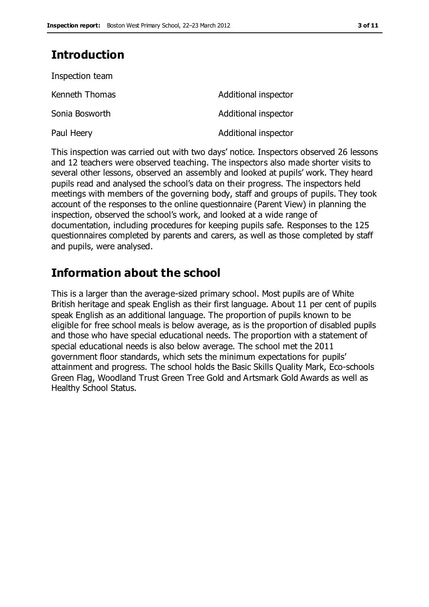# **Introduction**

| Inspection team |                      |
|-----------------|----------------------|
| Kenneth Thomas  | Additional inspector |
| Sonia Bosworth  | Additional inspector |
| Paul Heery      | Additional inspector |

This inspection was carried out with two days' notice. Inspectors observed 26 lessons and 12 teachers were observed teaching. The inspectors also made shorter visits to several other lessons, observed an assembly and looked at pupils' work. They heard pupils read and analysed the school's data on their progress. The inspectors held meetings with members of the governing body, staff and groups of pupils. They took account of the responses to the online questionnaire (Parent View) in planning the inspection, observed the school's work, and looked at a wide range of documentation, including procedures for keeping pupils safe. Responses to the 125 questionnaires completed by parents and carers, as well as those completed by staff and pupils, were analysed.

# **Information about the school**

This is a larger than the average-sized primary school. Most pupils are of White British heritage and speak English as their first language. About 11 per cent of pupils speak English as an additional language. The proportion of pupils known to be eligible for free school meals is below average, as is the proportion of disabled pupils and those who have special educational needs. The proportion with a statement of special educational needs is also below average. The school met the 2011 government floor standards, which sets the minimum expectations for pupils' attainment and progress. The school holds the Basic Skills Quality Mark, Eco-schools Green Flag, Woodland Trust Green Tree Gold and Artsmark Gold Awards as well as Healthy School Status.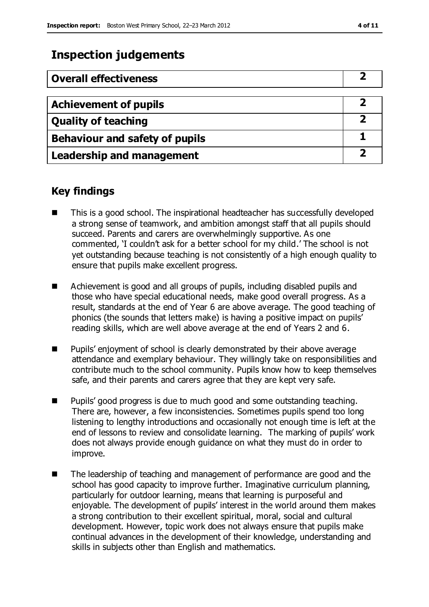# **Inspection judgements**

| <b>Overall effectiveness</b>          |  |
|---------------------------------------|--|
|                                       |  |
| <b>Achievement of pupils</b>          |  |
| <b>Quality of teaching</b>            |  |
| <b>Behaviour and safety of pupils</b> |  |
| <b>Leadership and management</b>      |  |

### **Key findings**

- This is a good school. The inspirational headteacher has successfully developed a strong sense of teamwork, and ambition amongst staff that all pupils should succeed. Parents and carers are overwhelmingly supportive. As one commented, 'I couldn't ask for a better school for my child.' The school is not yet outstanding because teaching is not consistently of a high enough quality to ensure that pupils make excellent progress.
- Achievement is good and all groups of pupils, including disabled pupils and those who have special educational needs, make good overall progress. As a result, standards at the end of Year 6 are above average. The good teaching of phonics (the sounds that letters make) is having a positive impact on pupils' reading skills, which are well above average at the end of Years 2 and 6.
- **Pupils'** enjoyment of school is clearly demonstrated by their above average attendance and exemplary behaviour. They willingly take on responsibilities and contribute much to the school community. Pupils know how to keep themselves safe, and their parents and carers agree that they are kept very safe.
- **Pupils' good progress is due to much good and some outstanding teaching.** There are, however, a few inconsistencies. Sometimes pupils spend too long listening to lengthy introductions and occasionally not enough time is left at the end of lessons to review and consolidate learning. The marking of pupils' work does not always provide enough guidance on what they must do in order to improve.
- The leadership of teaching and management of performance are good and the school has good capacity to improve further. Imaginative curriculum planning, particularly for outdoor learning, means that learning is purposeful and enjoyable. The development of pupils' interest in the world around them makes a strong contribution to their excellent spiritual, moral, social and cultural development. However, topic work does not always ensure that pupils make continual advances in the development of their knowledge, understanding and skills in subjects other than English and mathematics.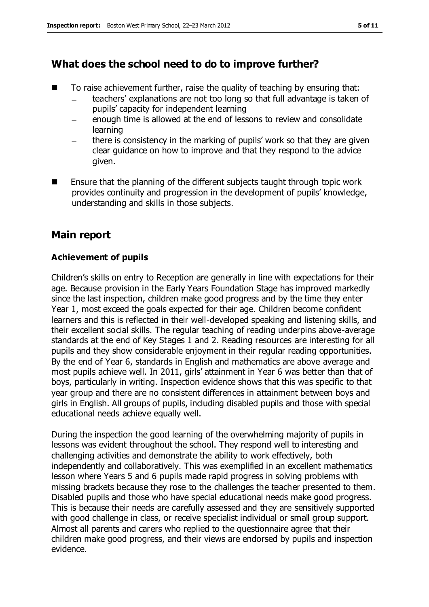## **What does the school need to do to improve further?**

- $\blacksquare$  To raise achievement further, raise the quality of teaching by ensuring that:
	- teachers' explanations are not too long so that full advantage is taken of  $\frac{1}{2}$ pupils' capacity for independent learning
	- enough time is allowed at the end of lessons to review and consolidate learning
	- there is consistency in the marking of pupils' work so that they are given clear guidance on how to improve and that they respond to the advice given.
- Ensure that the planning of the different subjects taught through topic work provides continuity and progression in the development of pupils' knowledge, understanding and skills in those subjects.

## **Main report**

### **Achievement of pupils**

Children's skills on entry to Reception are generally in line with expectations for their age. Because provision in the Early Years Foundation Stage has improved markedly since the last inspection, children make good progress and by the time they enter Year 1, most exceed the goals expected for their age. Children become confident learners and this is reflected in their well-developed speaking and listening skills, and their excellent social skills. The regular teaching of reading underpins above-average standards at the end of Key Stages 1 and 2. Reading resources are interesting for all pupils and they show considerable enjoyment in their regular reading opportunities. By the end of Year 6, standards in English and mathematics are above average and most pupils achieve well. In 2011, girls' attainment in Year 6 was better than that of boys, particularly in writing. Inspection evidence shows that this was specific to that year group and there are no consistent differences in attainment between boys and girls in English. All groups of pupils, including disabled pupils and those with special educational needs achieve equally well.

During the inspection the good learning of the overwhelming majority of pupils in lessons was evident throughout the school. They respond well to interesting and challenging activities and demonstrate the ability to work effectively, both independently and collaboratively. This was exemplified in an excellent mathematics lesson where Years 5 and 6 pupils made rapid progress in solving problems with missing brackets because they rose to the challenges the teacher presented to them. Disabled pupils and those who have special educational needs make good progress. This is because their needs are carefully assessed and they are sensitively supported with good challenge in class, or receive specialist individual or small group support. Almost all parents and carers who replied to the questionnaire agree that their children make good progress, and their views are endorsed by pupils and inspection evidence.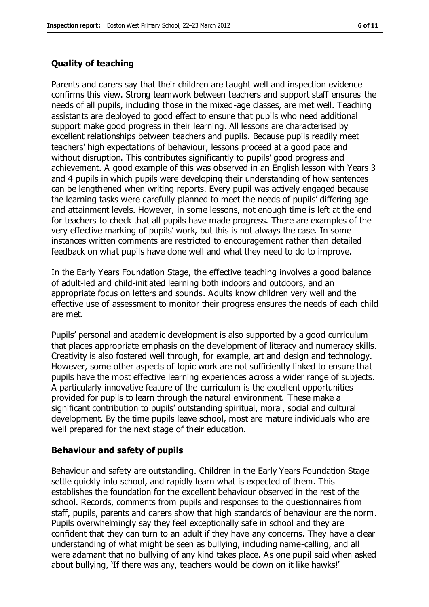#### **Quality of teaching**

Parents and carers say that their children are taught well and inspection evidence confirms this view. Strong teamwork between teachers and support staff ensures the needs of all pupils, including those in the mixed-age classes, are met well. Teaching assistants are deployed to good effect to ensure that pupils who need additional support make good progress in their learning. All lessons are characterised by excellent relationships between teachers and pupils. Because pupils readily meet teachers' high expectations of behaviour, lessons proceed at a good pace and without disruption. This contributes significantly to pupils' good progress and achievement. A good example of this was observed in an English lesson with Years 3 and 4 pupils in which pupils were developing their understanding of how sentences can be lengthened when writing reports. Every pupil was actively engaged because the learning tasks were carefully planned to meet the needs of pupils' differing age and attainment levels. However, in some lessons, not enough time is left at the end for teachers to check that all pupils have made progress. There are examples of the very effective marking of pupils' work, but this is not always the case. In some instances written comments are restricted to encouragement rather than detailed feedback on what pupils have done well and what they need to do to improve.

In the Early Years Foundation Stage, the effective teaching involves a good balance of adult-led and child-initiated learning both indoors and outdoors, and an appropriate focus on letters and sounds. Adults know children very well and the effective use of assessment to monitor their progress ensures the needs of each child are met.

Pupils' personal and academic development is also supported by a good curriculum that places appropriate emphasis on the development of literacy and numeracy skills. Creativity is also fostered well through, for example, art and design and technology. However, some other aspects of topic work are not sufficiently linked to ensure that pupils have the most effective learning experiences across a wider range of subjects. A particularly innovative feature of the curriculum is the excellent opportunities provided for pupils to learn through the natural environment. These make a significant contribution to pupils' outstanding spiritual, moral, social and cultural development. By the time pupils leave school, most are mature individuals who are well prepared for the next stage of their education.

#### **Behaviour and safety of pupils**

Behaviour and safety are outstanding. Children in the Early Years Foundation Stage settle quickly into school, and rapidly learn what is expected of them. This establishes the foundation for the excellent behaviour observed in the rest of the school. Records, comments from pupils and responses to the questionnaires from staff, pupils, parents and carers show that high standards of behaviour are the norm. Pupils overwhelmingly say they feel exceptionally safe in school and they are confident that they can turn to an adult if they have any concerns. They have a clear understanding of what might be seen as bullying, including name-calling, and all were adamant that no bullying of any kind takes place. As one pupil said when asked about bullying, 'If there was any, teachers would be down on it like hawks!'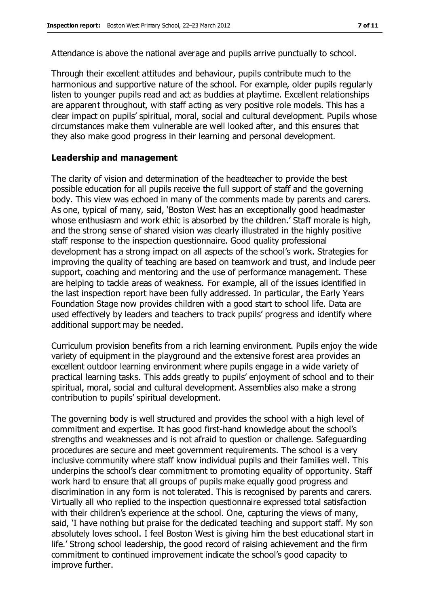Attendance is above the national average and pupils arrive punctually to school.

Through their excellent attitudes and behaviour, pupils contribute much to the harmonious and supportive nature of the school. For example, older pupils regularly listen to younger pupils read and act as buddies at playtime. Excellent relationships are apparent throughout, with staff acting as very positive role models. This has a clear impact on pupils' spiritual, moral, social and cultural development. Pupils whose circumstances make them vulnerable are well looked after, and this ensures that they also make good progress in their learning and personal development.

#### **Leadership and management**

The clarity of vision and determination of the headteacher to provide the best possible education for all pupils receive the full support of staff and the governing body. This view was echoed in many of the comments made by parents and carers. As one, typical of many, said, 'Boston West has an exceptionally good headmaster whose enthusiasm and work ethic is absorbed by the children.' Staff morale is high, and the strong sense of shared vision was clearly illustrated in the highly positive staff response to the inspection questionnaire. Good quality professional development has a strong impact on all aspects of the school's work. Strategies for improving the quality of teaching are based on teamwork and trust, and include peer support, coaching and mentoring and the use of performance management. These are helping to tackle areas of weakness. For example, all of the issues identified in the last inspection report have been fully addressed. In particular, the Early Years Foundation Stage now provides children with a good start to school life. Data are used effectively by leaders and teachers to track pupils' progress and identify where additional support may be needed.

Curriculum provision benefits from a rich learning environment. Pupils enjoy the wide variety of equipment in the playground and the extensive forest area provides an excellent outdoor learning environment where pupils engage in a wide variety of practical learning tasks. This adds greatly to pupils' enjoyment of school and to their spiritual, moral, social and cultural development. Assemblies also make a strong contribution to pupils' spiritual development.

The governing body is well structured and provides the school with a high level of commitment and expertise. It has good first-hand knowledge about the school's strengths and weaknesses and is not afraid to question or challenge. Safeguarding procedures are secure and meet government requirements. The school is a very inclusive community where staff know individual pupils and their families well. This underpins the school's clear commitment to promoting equality of opportunity. Staff work hard to ensure that all groups of pupils make equally good progress and discrimination in any form is not tolerated. This is recognised by parents and carers. Virtually all who replied to the inspection questionnaire expressed total satisfaction with their children's experience at the school. One, capturing the views of many, said, 'I have nothing but praise for the dedicated teaching and support staff. My son absolutely loves school. I feel Boston West is giving him the best educational start in life.' Strong school leadership, the good record of raising achievement and the firm commitment to continued improvement indicate the school's good capacity to improve further.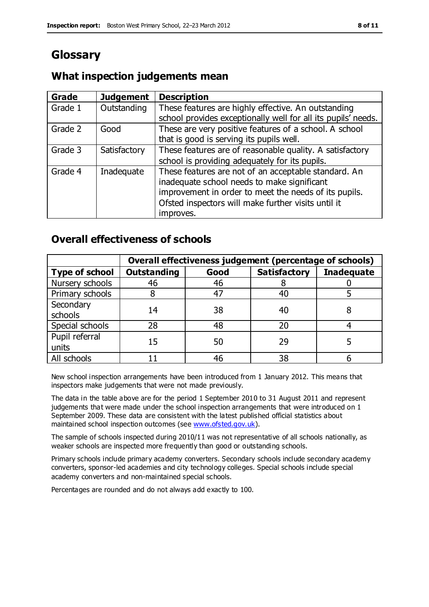# **Glossary**

### **What inspection judgements mean**

| Grade   | <b>Judgement</b> | <b>Description</b>                                                                                                                                                                                                               |
|---------|------------------|----------------------------------------------------------------------------------------------------------------------------------------------------------------------------------------------------------------------------------|
| Grade 1 | Outstanding      | These features are highly effective. An outstanding<br>school provides exceptionally well for all its pupils' needs.                                                                                                             |
| Grade 2 | Good             | These are very positive features of a school. A school<br>that is good is serving its pupils well.                                                                                                                               |
| Grade 3 | Satisfactory     | These features are of reasonable quality. A satisfactory<br>school is providing adequately for its pupils.                                                                                                                       |
| Grade 4 | Inadequate       | These features are not of an acceptable standard. An<br>inadequate school needs to make significant<br>improvement in order to meet the needs of its pupils.<br>Ofsted inspectors will make further visits until it<br>improves. |

### **Overall effectiveness of schools**

|                         | Overall effectiveness judgement (percentage of schools) |      |                     |                   |
|-------------------------|---------------------------------------------------------|------|---------------------|-------------------|
| <b>Type of school</b>   | <b>Outstanding</b>                                      | Good | <b>Satisfactory</b> | <b>Inadequate</b> |
| Nursery schools         | 46                                                      | 46   |                     |                   |
| Primary schools         |                                                         | 47   | 40                  |                   |
| Secondary<br>schools    | 14                                                      | 38   | 40                  |                   |
| Special schools         | 28                                                      | 48   | 20                  |                   |
| Pupil referral<br>units | 15                                                      | 50   | 29                  |                   |
| All schools             |                                                         | 46   | 38                  |                   |

New school inspection arrangements have been introduced from 1 January 2012. This means that inspectors make judgements that were not made previously.

The data in the table above are for the period 1 September 2010 to 31 August 2011 and represent judgements that were made under the school inspection arrangements that were introduced on 1 September 2009. These data are consistent with the latest published official statistics about maintained school inspection outcomes (see [www.ofsted.gov.uk\)](http://www.ofsted.gov.uk/).

The sample of schools inspected during 2010/11 was not representative of all schools nationally, as weaker schools are inspected more frequently than good or outstanding schools.

Primary schools include primary academy converters. Secondary schools include secondary academy converters, sponsor-led academies and city technology colleges. Special schools include special academy converters and non-maintained special schools.

Percentages are rounded and do not always add exactly to 100.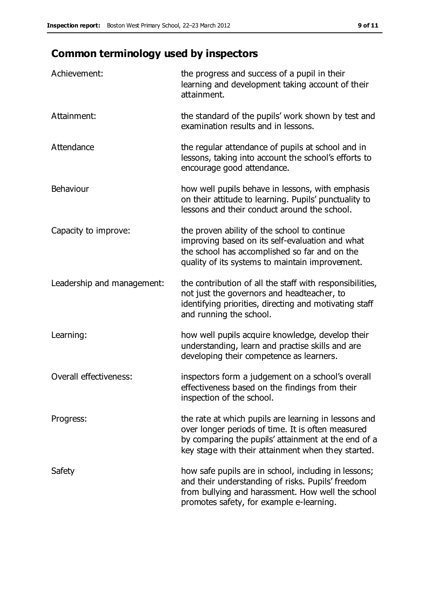# **Common terminology used by inspectors**

| Achievement:               | the progress and success of a pupil in their<br>learning and development taking account of their<br>attainment.                                                                                                        |
|----------------------------|------------------------------------------------------------------------------------------------------------------------------------------------------------------------------------------------------------------------|
| Attainment:                | the standard of the pupils' work shown by test and<br>examination results and in lessons.                                                                                                                              |
| Attendance                 | the regular attendance of pupils at school and in<br>lessons, taking into account the school's efforts to<br>encourage good attendance.                                                                                |
| Behaviour                  | how well pupils behave in lessons, with emphasis<br>on their attitude to learning. Pupils' punctuality to<br>lessons and their conduct around the school.                                                              |
| Capacity to improve:       | the proven ability of the school to continue<br>improving based on its self-evaluation and what<br>the school has accomplished so far and on the<br>quality of its systems to maintain improvement.                    |
| Leadership and management: | the contribution of all the staff with responsibilities,<br>not just the governors and headteacher, to<br>identifying priorities, directing and motivating staff<br>and running the school.                            |
| Learning:                  | how well pupils acquire knowledge, develop their<br>understanding, learn and practise skills and are<br>developing their competence as learners.                                                                       |
| Overall effectiveness:     | inspectors form a judgement on a school's overall<br>effectiveness based on the findings from their<br>inspection of the school.                                                                                       |
| Progress:                  | the rate at which pupils are learning in lessons and<br>over longer periods of time. It is often measured<br>by comparing the pupils' attainment at the end of a<br>key stage with their attainment when they started. |
| Safety                     | how safe pupils are in school, including in lessons;<br>and their understanding of risks. Pupils' freedom<br>from bullying and harassment. How well the school<br>promotes safety, for example e-learning.             |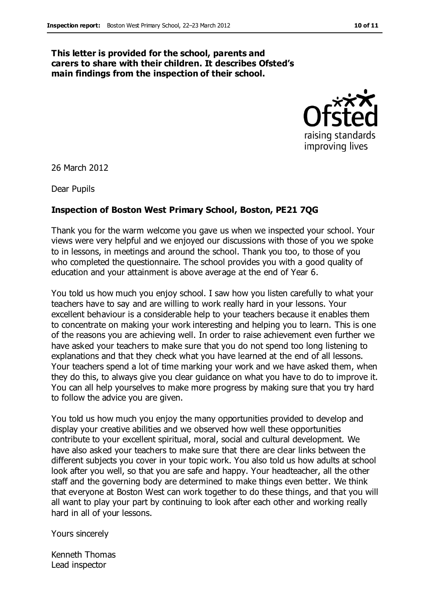#### **This letter is provided for the school, parents and carers to share with their children. It describes Ofsted's main findings from the inspection of their school.**



26 March 2012

Dear Pupils

#### **Inspection of Boston West Primary School, Boston, PE21 7QG**

Thank you for the warm welcome you gave us when we inspected your school. Your views were very helpful and we enjoyed our discussions with those of you we spoke to in lessons, in meetings and around the school. Thank you too, to those of you who completed the questionnaire. The school provides you with a good quality of education and your attainment is above average at the end of Year 6.

You told us how much you enjoy school. I saw how you listen carefully to what your teachers have to say and are willing to work really hard in your lessons. Your excellent behaviour is a considerable help to your teachers because it enables them to concentrate on making your work interesting and helping you to learn. This is one of the reasons you are achieving well. In order to raise achievement even further we have asked your teachers to make sure that you do not spend too long listening to explanations and that they check what you have learned at the end of all lessons. Your teachers spend a lot of time marking your work and we have asked them, when they do this, to always give you clear guidance on what you have to do to improve it. You can all help yourselves to make more progress by making sure that you try hard to follow the advice you are given.

You told us how much you enjoy the many opportunities provided to develop and display your creative abilities and we observed how well these opportunities contribute to your excellent spiritual, moral, social and cultural development. We have also asked your teachers to make sure that there are clear links between the different subjects you cover in your topic work. You also told us how adults at school look after you well, so that you are safe and happy. Your headteacher, all the other staff and the governing body are determined to make things even better. We think that everyone at Boston West can work together to do these things, and that you will all want to play your part by continuing to look after each other and working really hard in all of your lessons.

Yours sincerely

Kenneth Thomas Lead inspector